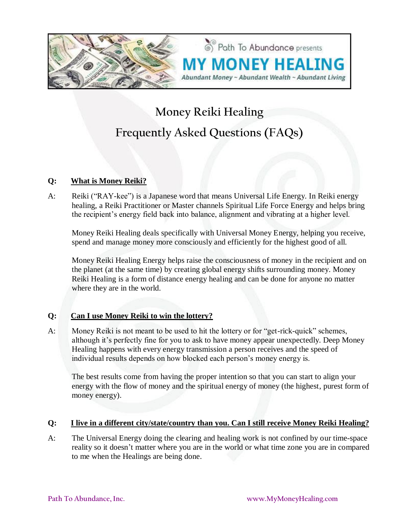

# **Money Reiki Healing Frequently Asked Questions (FAQs)**

Path To Abundance presents

# **Q: What is Money Reiki?**

A: Reiki ("RAY-kee") is a Japanese word that means Universal Life Energy. In Reiki energy healing, a Reiki Practitioner or Master channels Spiritual Life Force Energy and helps bring the recipient's energy field back into balance, alignment and vibrating at a higher level.

Money Reiki Healing deals specifically with Universal Money Energy, helping you receive, spend and manage money more consciously and efficiently for the highest good of all.

Money Reiki Healing Energy helps raise the consciousness of money in the recipient and on the planet (at the same time) by creating global energy shifts surrounding money. Money Reiki Healing is a form of distance energy healing and can be done for anyone no matter where they are in the world.

# **Q: Can I use Money Reiki to win the lottery?**

A: Money Reiki is not meant to be used to hit the lottery or for "get-rick-quick" schemes, although it's perfectly fine for you to ask to have money appear unexpectedly. Deep Money Healing happens with every energy transmission a person receives and the speed of individual results depends on how blocked each person's money energy is.

The best results come from having the proper intention so that you can start to align your energy with the flow of money and the spiritual energy of money (the highest, purest form of money energy).

#### **Q: I live in a different city/state/country than you. Can I still receive Money Reiki Healing?**

A: The Universal Energy doing the clearing and healing work is not confined by our time-space reality so it doesn't matter where you are in the world or what time zone you are in compared to me when the Healings are being done.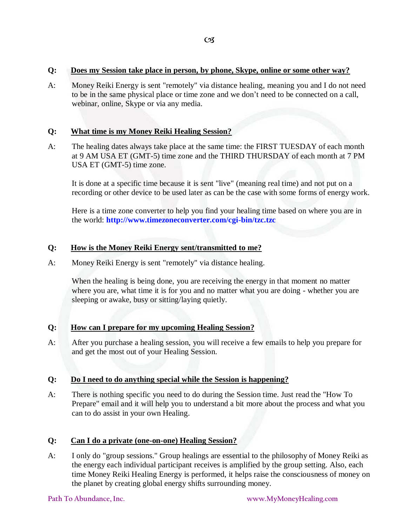#### **Q: Does my Session take place in person, by phone, Skype, online or some other way?**

A: Money Reiki Energy is sent "remotely" via distance healing, meaning you and I do not need to be in the same physical place or time zone and we don't need to be connected on a call, webinar, online, Skype or via any media.

#### **Q: What time is my Money Reiki Healing Session?**

A: The healing dates always take place at the same time: the FIRST TUESDAY of each month at 9 AM USA ET (GMT-5) time zone and the THIRD THURSDAY of each month at 7 PM USA ET (GMT-5) time zone.

It is done at a specific time because it is sent "live" (meaning real time) and not put on a recording or other device to be used later as can be the case with some forms of energy work.

Here is a time zone converter to help you find your healing time based on where you are in the world: **<http://www.timezoneconverter.com/cgi-bin/tzc.tzc>**

#### **Q: How is the Money Reiki Energy sent/transmitted to me?**

A: Money Reiki Energy is sent "remotely" via distance healing.

When the healing is being done, you are receiving the energy in that moment no matter where you are, what time it is for you and no matter what you are doing - whether you are sleeping or awake, busy or sitting/laying quietly.

#### **Q: How can I prepare for my upcoming Healing Session?**

A: After you purchase a healing session, you will receive a few emails to help you prepare for and get the most out of your Healing Session.

#### **Q: Do I need to do anything special while the Session is happening?**

A: There is nothing specific you need to do during the Session time. Just read the "How To Prepare" email and it will help you to understand a bit more about the process and what you can to do assist in your own Healing.

#### **Q: Can I do a private (one-on-one) Healing Session?**

A: I only do "group sessions." Group healings are essential to the philosophy of Money Reiki as the energy each individual participant receives is amplified by the group setting. Also, each time Money Reiki Healing Energy is performed, it helps raise the consciousness of money on the planet by creating global energy shifts surrounding money.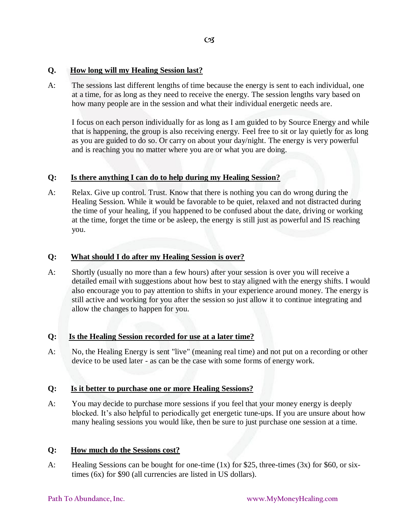# **Q. How long will my Healing Session last?**

A: The sessions last different lengths of time because the energy is sent to each individual, one at a time, for as long as they need to receive the energy. The session lengths vary based on how many people are in the session and what their individual energetic needs are.

I focus on each person individually for as long as I am guided to by Source Energy and while that is happening, the group is also receiving energy. Feel free to sit or lay quietly for as long as you are guided to do so. Or carry on about your day/night. The energy is very powerful and is reaching you no matter where you are or what you are doing.

# **Q: Is there anything I can do to help during my Healing Session?**

A: Relax. Give up control. Trust. Know that there is nothing you can do wrong during the Healing Session. While it would be favorable to be quiet, relaxed and not distracted during the time of your healing, if you happened to be confused about the date, driving or working at the time, forget the time or be asleep, the energy is still just as powerful and IS reaching you.

# **Q: What should I do after my Healing Session is over?**

A: Shortly (usually no more than a few hours) after your session is over you will receive a detailed email with suggestions about how best to stay aligned with the energy shifts. I would also encourage you to pay attention to shifts in your experience around money. The energy is still active and working for you after the session so just allow it to continue integrating and allow the changes to happen for you.

# **Q: Is the Healing Session recorded for use at a later time?**

A: No, the Healing Energy is sent "live" (meaning real time) and not put on a recording or other device to be used later - as can be the case with some forms of energy work.

# **Q: Is it better to purchase one or more Healing Sessions?**

A: You may decide to purchase more sessions if you feel that your money energy is deeply blocked. It's also helpful to periodically get energetic tune-ups. If you are unsure about how many healing sessions you would like, then be sure to just purchase one session at a time.

# **Q: How much do the Sessions cost?**

A: Healing Sessions can be bought for one-time (1x) for \$25, three-times (3x) for \$60, or sixtimes (6x) for \$90 (all currencies are listed in US dollars).